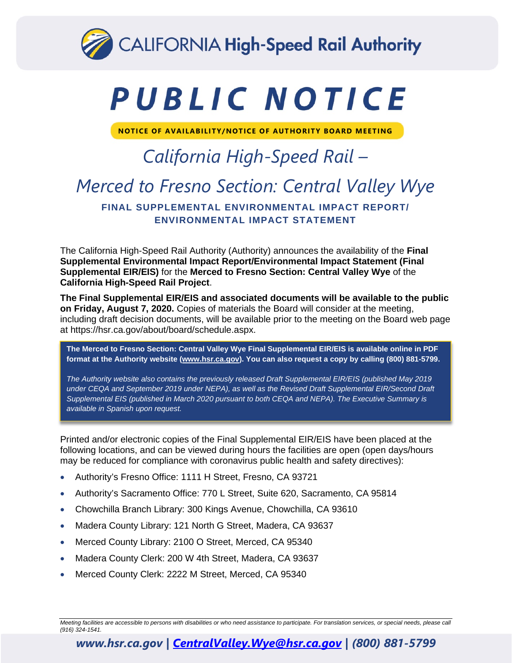

# PUBLIC NOTICE

**NOTICE OF AVAILABILITY/NOTICE OF AUTHORITY BOARD MEETING**

## *California High-Speed Rail – Merced to Fresno Section: Central Valley Wye* **FINAL SUPPLEMENTAL ENVIRONMENTAL IMPACT REPORT/ ENVIRONMENTAL IMPACT STATEMENT**

The California High-Speed Rail Authority (Authority) announces the availability of the **Final Supplemental Environmental Impact Report/Environmental Impact Statement (Final Supplemental EIR/EIS)** for the **Merced to Fresno Section: Central Valley Wye** of the **California High-Speed Rail Project**.

**The Final Supplemental EIR/EIS and associated documents will be available to the public on Friday, August 7, 2020.** Copies of materials the Board will consider at the meeting, including draft decision documents, will be available prior to the meeting on the Board web page at [https://hsr.ca.gov/about/board/schedule.aspx.](https://hsr.ca.gov/about/board/schedule.aspx)

**The Merced to Fresno Section: Central Valley Wye Final Supplemental EIR/EIS is available online in PDF format at the Authority website [\(www.hsr.ca.gov\)](http://www.hsr.ca.gov/). You can also request a copy by calling (800) 881-5799.**

*The Authority website also contains the previously released Draft Supplemental EIR/EIS (published May 2019 under CEQA and September 2019 under NEPA), as well as the Revised Draft Supplemental EIR/Second Draft Supplemental EIS (published in March 2020 pursuant to both CEQA and NEPA). The Executive Summary is available in Spanish upon request.* 

Printed and/or electronic copies of the Final Supplemental EIR/EIS have been placed at the following locations, and can be viewed during hours the facilities are open (open days/hours may be reduced for compliance with coronavirus public health and safety directives):

- Authority's Fresno Office: 1111 H Street, Fresno, CA 93721
- Authority's Sacramento Office: 770 L Street, Suite 620, Sacramento, CA 95814
- Chowchilla Branch Library: 300 Kings Avenue, Chowchilla, CA 93610
- Madera County Library: 121 North G Street, Madera, CA 93637
- Merced County Library: 2100 O Street, Merced, CA 95340
- Madera County Clerk: 200 W 4th Street, Madera, CA 93637
- Merced County Clerk: 2222 M Street, Merced, CA 95340

#### *www.hsr.ca.gov | [CentralValley.Wye@hsr.ca.gov](mailto:CentralValley.Wye@hsr.ca.gov) | (800) 881-5799*